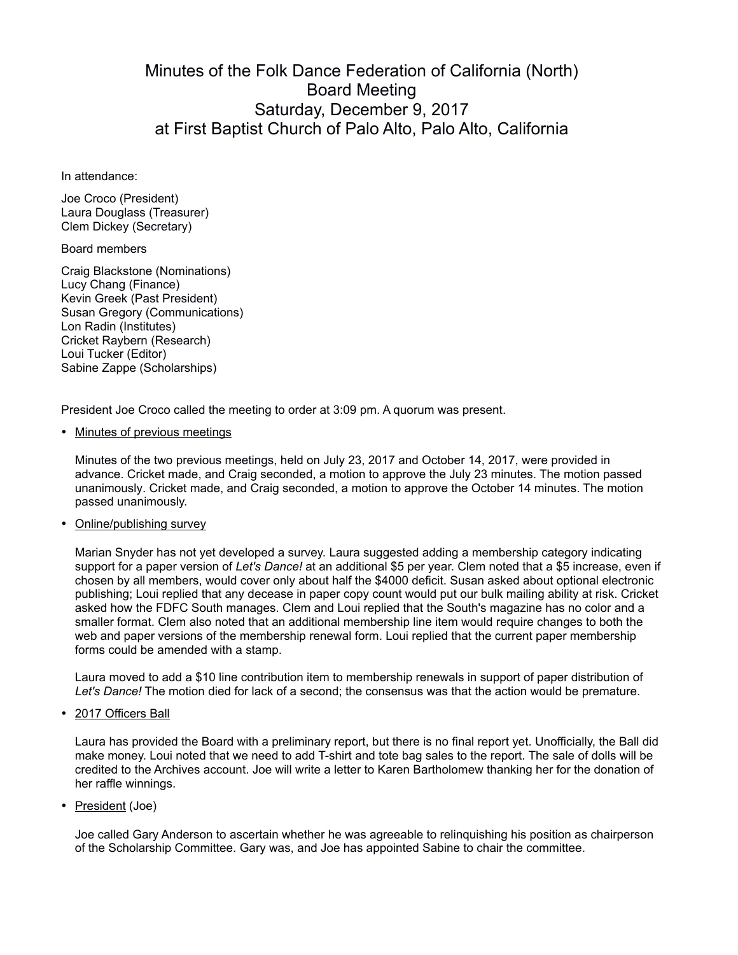## Minutes of the Folk Dance Federation of California (North) Board Meeting Saturday, December 9, 2017 at First Baptist Church of Palo Alto, Palo Alto, California

In attendance:

Joe Croco (President) Laura Douglass (Treasurer) Clem Dickey (Secretary)

## Board members

Craig Blackstone (Nominations) Lucy Chang (Finance) Kevin Greek (Past President) Susan Gregory (Communications) Lon Radin (Institutes) Cricket Raybern (Research) Loui Tucker (Editor) Sabine Zappe (Scholarships)

President Joe Croco called the meeting to order at 3:09 pm. A quorum was present.

• Minutes of previous meetings

Minutes of the two previous meetings, held on July 23, 2017 and October 14, 2017, were provided in advance. Cricket made, and Craig seconded, a motion to approve the July 23 minutes. The motion passed unanimously. Cricket made, and Craig seconded, a motion to approve the October 14 minutes. The motion passed unanimously.

• Online/publishing survey

Marian Snyder has not yet developed a survey. Laura suggested adding a membership category indicating support for a paper version of *Let's Dance!* at an additional \$5 per year. Clem noted that a \$5 increase, even if chosen by all members, would cover only about half the \$4000 deficit. Susan asked about optional electronic publishing; Loui replied that any decease in paper copy count would put our bulk mailing ability at risk. Cricket asked how the FDFC South manages. Clem and Loui replied that the South's magazine has no color and a smaller format. Clem also noted that an additional membership line item would require changes to both the web and paper versions of the membership renewal form. Loui replied that the current paper membership forms could be amended with a stamp.

Laura moved to add a \$10 line contribution item to membership renewals in support of paper distribution of *Let's Dance!* The motion died for lack of a second; the consensus was that the action would be premature.

• 2017 Officers Ball

Laura has provided the Board with a preliminary report, but there is no final report yet. Unofficially, the Ball did make money. Loui noted that we need to add T-shirt and tote bag sales to the report. The sale of dolls will be credited to the Archives account. Joe will write a letter to Karen Bartholomew thanking her for the donation of her raffle winnings.

• President (Joe)

Joe called Gary Anderson to ascertain whether he was agreeable to relinquishing his position as chairperson of the Scholarship Committee. Gary was, and Joe has appointed Sabine to chair the committee.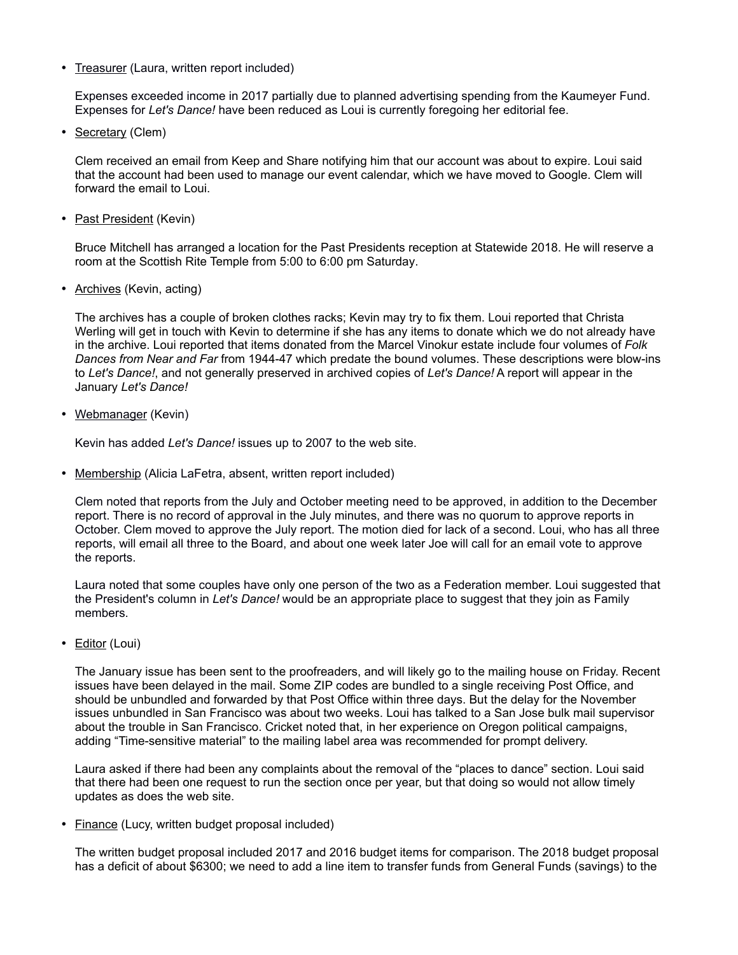• Treasurer (Laura, written report included)

Expenses exceeded income in 2017 partially due to planned advertising spending from the Kaumeyer Fund. Expenses for *Let's Dance!* have been reduced as Loui is currently foregoing her editorial fee.

• Secretary (Clem)

Clem received an email from Keep and Share notifying him that our account was about to expire. Loui said that the account had been used to manage our event calendar, which we have moved to Google. Clem will forward the email to Loui.

• Past President (Kevin)

Bruce Mitchell has arranged a location for the Past Presidents reception at Statewide 2018. He will reserve a room at the Scottish Rite Temple from 5:00 to 6:00 pm Saturday.

• Archives (Kevin, acting)

The archives has a couple of broken clothes racks; Kevin may try to fix them. Loui reported that Christa Werling will get in touch with Kevin to determine if she has any items to donate which we do not already have in the archive. Loui reported that items donated from the Marcel Vinokur estate include four volumes of *Folk Dances from Near and Far* from 1944-47 which predate the bound volumes. These descriptions were blow-ins to *Let's Dance!*, and not generally preserved in archived copies of *Let's Dance!* A report will appear in the January *Let's Dance!*

• Webmanager (Kevin)

Kevin has added *Let's Dance!* issues up to 2007 to the web site.

• Membership (Alicia LaFetra, absent, written report included)

Clem noted that reports from the July and October meeting need to be approved, in addition to the December report. There is no record of approval in the July minutes, and there was no quorum to approve reports in October. Clem moved to approve the July report. The motion died for lack of a second. Loui, who has all three reports, will email all three to the Board, and about one week later Joe will call for an email vote to approve the reports.

Laura noted that some couples have only one person of the two as a Federation member. Loui suggested that the President's column in *Let's Dance!* would be an appropriate place to suggest that they join as Family members.

• Editor (Loui)

The January issue has been sent to the proofreaders, and will likely go to the mailing house on Friday. Recent issues have been delayed in the mail. Some ZIP codes are bundled to a single receiving Post Office, and should be unbundled and forwarded by that Post Office within three days. But the delay for the November issues unbundled in San Francisco was about two weeks. Loui has talked to a San Jose bulk mail supervisor about the trouble in San Francisco. Cricket noted that, in her experience on Oregon political campaigns, adding "Time-sensitive material" to the mailing label area was recommended for prompt delivery.

Laura asked if there had been any complaints about the removal of the "places to dance" section. Loui said that there had been one request to run the section once per year, but that doing so would not allow timely updates as does the web site.

• Finance (Lucy, written budget proposal included)

The written budget proposal included 2017 and 2016 budget items for comparison. The 2018 budget proposal has a deficit of about \$6300; we need to add a line item to transfer funds from General Funds (savings) to the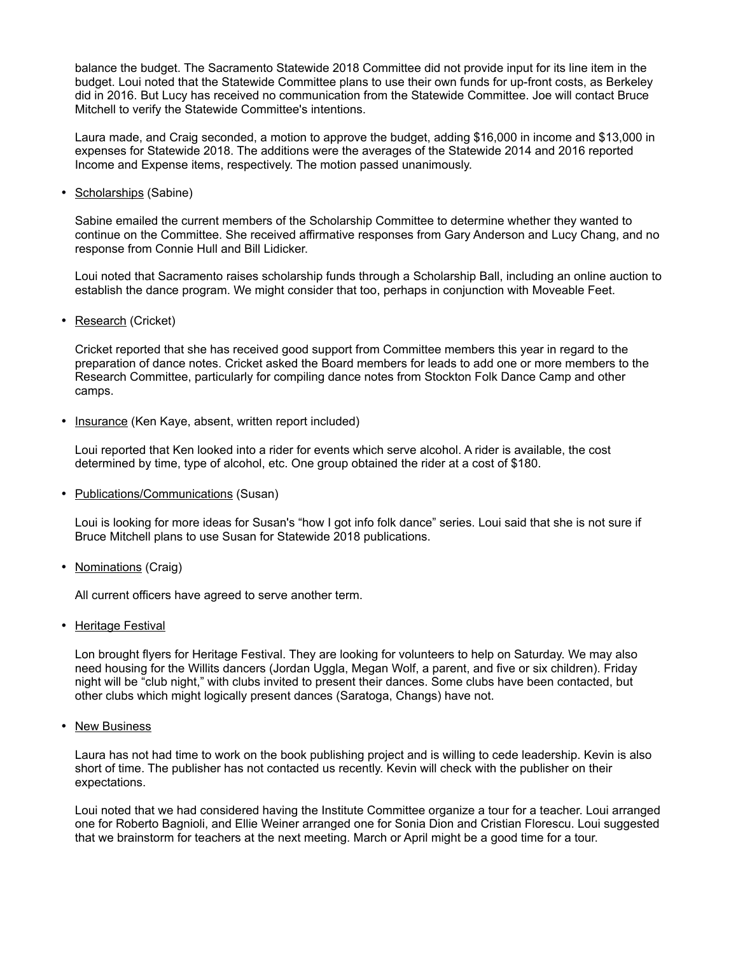balance the budget. The Sacramento Statewide 2018 Committee did not provide input for its line item in the budget. Loui noted that the Statewide Committee plans to use their own funds for up-front costs, as Berkeley did in 2016. But Lucy has received no communication from the Statewide Committee. Joe will contact Bruce Mitchell to verify the Statewide Committee's intentions.

Laura made, and Craig seconded, a motion to approve the budget, adding \$16,000 in income and \$13,000 in expenses for Statewide 2018. The additions were the averages of the Statewide 2014 and 2016 reported Income and Expense items, respectively. The motion passed unanimously.

• Scholarships (Sabine)

Sabine emailed the current members of the Scholarship Committee to determine whether they wanted to continue on the Committee. She received affirmative responses from Gary Anderson and Lucy Chang, and no response from Connie Hull and Bill Lidicker.

Loui noted that Sacramento raises scholarship funds through a Scholarship Ball, including an online auction to establish the dance program. We might consider that too, perhaps in conjunction with Moveable Feet.

• Research (Cricket)

Cricket reported that she has received good support from Committee members this year in regard to the preparation of dance notes. Cricket asked the Board members for leads to add one or more members to the Research Committee, particularly for compiling dance notes from Stockton Folk Dance Camp and other camps.

• Insurance (Ken Kaye, absent, written report included)

Loui reported that Ken looked into a rider for events which serve alcohol. A rider is available, the cost determined by time, type of alcohol, etc. One group obtained the rider at a cost of \$180.

• Publications/Communications (Susan)

Loui is looking for more ideas for Susan's "how I got info folk dance" series. Loui said that she is not sure if Bruce Mitchell plans to use Susan for Statewide 2018 publications.

• Nominations (Craig)

All current officers have agreed to serve another term.

• Heritage Festival

Lon brought flyers for Heritage Festival. They are looking for volunteers to help on Saturday. We may also need housing for the Willits dancers (Jordan Uggla, Megan Wolf, a parent, and five or six children). Friday night will be "club night," with clubs invited to present their dances. Some clubs have been contacted, but other clubs which might logically present dances (Saratoga, Changs) have not.

• New Business

Laura has not had time to work on the book publishing project and is willing to cede leadership. Kevin is also short of time. The publisher has not contacted us recently. Kevin will check with the publisher on their expectations.

Loui noted that we had considered having the Institute Committee organize a tour for a teacher. Loui arranged one for Roberto Bagnioli, and Ellie Weiner arranged one for Sonia Dion and Cristian Florescu. Loui suggested that we brainstorm for teachers at the next meeting. March or April might be a good time for a tour.